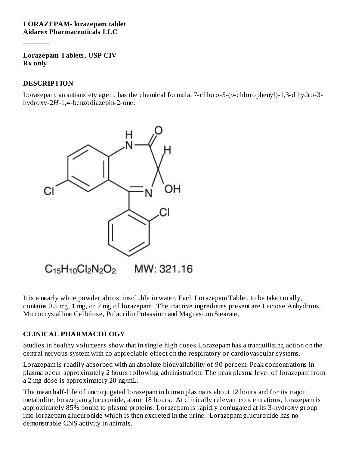#### **LORAZEPAM- lorazepam tablet Aidarex Pharmaceuticals LLC**

----------

**Lorazepam Tablets, USP CIV Rx only**

#### **DESCRIPTION**

Lorazepam, an antianxiety agent, has the chemical formula, 7-chloro-5-(*o*-chlorophenyl)-1,3-dihydro-3 hydroxy-2*H*-1,4-benzodiazepin-2-one:



It is a nearly white powder almost insoluble in water. Each Lorazepam Tablet, to be taken orally, contains 0.5 mg, 1 mg, or 2 mg of lorazepam. The inactive ingredients present are Lactose Anhydrous, Microcrystalline Cellulose, Polacrilin Potassium and Magnesium Stearate.

#### **CLINICAL PHARMACOLOGY**

Studies in healthy volunteers show that in single high doses Lorazepam has a tranquilizing action on the central nervous system with no appreciable effect on the respiratory or cardiovascular systems.

Lorazepam is readily absorbed with an absolute bioavailability of 90 percent. Peak concentrations in plasma occur approximately 2 hours following administration. The peak plasma level of lorazepam from a 2 mg dose is approximately 20 ng/mL.

The mean half-life of unconjugated lorazepam in human plasma is about 12 hours and for its major metabolite, lorazepam glucuronide, about 18 hours. At clinically relevant concentrations, lorazepam is approximately 85% bound to plasma proteins. Lorazepam is rapidly conjugated at its 3-hydroxy group into lorazepam glucuronide which is then excreted in the urine. Lorazepam glucuronide has no demonstrable CNS activity in animals.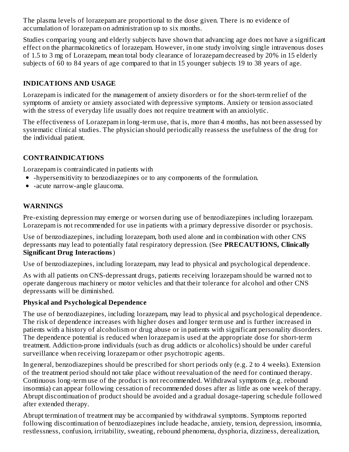The plasma levels of lorazepam are proportional to the dose given. There is no evidence of accumulation of lorazepam on administration up to six months.

Studies comparing young and elderly subjects have shown that advancing age does not have a significant effect on the pharmacokinetics of lorazepam. However, in one study involving single intravenous doses of 1.5 to 3 mg of Lorazepam, mean total body clearance of lorazepam decreased by 20% in 15 elderly subjects of 60 to 84 years of age compared to that in 15 younger subjects 19 to 38 years of age.

## **INDICATIONS AND USAGE**

Lorazepam is indicated for the management of anxiety disorders or for the short-term relief of the symptoms of anxiety or anxiety associated with depressive symptoms. Anxiety or tension associated with the stress of everyday life usually does not require treatment with an anxiolytic.

The effectiveness of Lorazepam in long-term use, that is, more than 4 months, has not been assessed by systematic clinical studies. The physician should periodically reassess the usefulness of the drug for the individual patient.

### **CONTRAINDICATIONS**

Lorazepam is contraindicated in patients with

- -hypersensitivity to benzodiazepines or to any components of the formulation.
- -acute narrow-angle glaucoma.

# **WARNINGS**

Pre-existing depression may emerge or worsen during use of benzodiazepines including lorazepam. Lorazepam is not recommended for use in patients with a primary depressive disorder or psychosis.

Use of benzodiazepines, including lorazepam, both used alone and in combination with other CNS depressants may lead to potentially fatal respiratory depression. (See **PRECAUTIONS, Clinically Significant Drug Interactions**)

Use of benzodiazepines, including lorazepam, may lead to physical and psychological dependence.

As with all patients on CNS-depressant drugs, patients receiving lorazepam should be warned not to operate dangerous machinery or motor vehicles and that their tolerance for alcohol and other CNS depressants will be diminished.

## **Physical and Psychological Dependence**

The use of benzodiazepines, including lorazepam, may lead to physical and psychological dependence. The risk of dependence increases with higher doses and longer term use and is further increased in patients with a history of alcoholism or drug abuse or in patients with significant personality disorders. The dependence potential is reduced when lorazepam is used at the appropriate dose for short-term treatment. Addiction-prone individuals (such as drug addicts or alcoholics) should be under careful surveillance when receiving lorazepam or other psychotropic agents.

In general, benzodiazepines should be prescribed for short periods only (e.g. 2 to 4 weeks). Extension of the treatment period should not take place without reevaluation of the need for continued therapy. Continuous long-term use of the product is not recommended. Withdrawal symptoms (e.g. rebound insomnia) can appear following cessation of recommended doses after as little as one week of therapy. Abrupt discontinuation of product should be avoided and a gradual dosage-tapering schedule followed after extended therapy.

Abrupt termination of treatment may be accompanied by withdrawal symptoms. Symptoms reported following discontinuation of benzodiazepines include headache, anxiety, tension, depression, insomnia, restlessness, confusion, irritability, sweating, rebound phenomena, dysphoria, dizziness, derealization,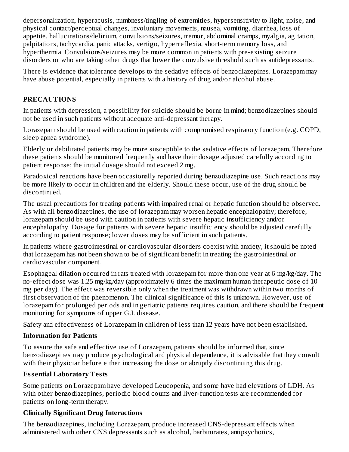depersonalization, hyperacusis, numbness/tingling of extremities, hypersensitivity to light, noise, and physical contact/perceptual changes, involuntary movements, nausea, vomiting, diarrhea, loss of appetite, hallucinations/delirium, convulsions/seizures, tremor, abdominal cramps, myalgia, agitation, palpitations, tachycardia, panic attacks, vertigo, hyperreflexia, short-term memory loss, and hyperthermia. Convulsions/seizures may be more common in patients with pre-existing seizure disorders or who are taking other drugs that lower the convulsive threshold such as antidepressants.

There is evidence that tolerance develops to the sedative effects of benzodiazepines. Lorazepam may have abuse potential, especially in patients with a history of drug and/or alcohol abuse.

# **PRECAUTIONS**

In patients with depression, a possibility for suicide should be borne in mind; benzodiazepines should not be used in such patients without adequate anti-depressant therapy.

Lorazepam should be used with caution in patients with compromised respiratory function (e.g. COPD, sleep apnea syndrome).

Elderly or debilitated patients may be more susceptible to the sedative effects of lorazepam. Therefore these patients should be monitored frequently and have their dosage adjusted carefully according to patient response; the initial dosage should not exceed 2 mg.

Paradoxical reactions have been occasionally reported during benzodiazepine use. Such reactions may be more likely to occur in children and the elderly. Should these occur, use of the drug should be discontinued.

The usual precautions for treating patients with impaired renal or hepatic function should be observed. As with all benzodiazepines, the use of lorazepam may worsen hepatic encephalopathy; therefore, lorazepam should be used with caution in patients with severe hepatic insufficiency and/or encephalopathy. Dosage for patients with severe hepatic insufficiency should be adjusted carefully according to patient response; lower doses may be sufficient in such patients.

In patients where gastrointestinal or cardiovascular disorders coexist with anxiety, it should be noted that lorazepam has not been shown to be of significant benefit in treating the gastrointestinal or cardiovascular component.

Esophageal dilation occurred in rats treated with lorazepam for more than one year at 6 mg/kg/day. The no-effect dose was 1.25 mg/kg/day (approximately 6 times the maximum human therapeutic dose of 10 mg per day). The effect was reversible only when the treatment was withdrawn within two months of first observation of the phenomenon. The clinical significance of this is unknown. However, use of lorazepam for prolonged periods and in geriatric patients requires caution, and there should be frequent monitoring for symptoms of upper G.I. disease.

Safety and effectiveness of Lorazepam in children of less than 12 years have not been established.

## **Information for Patients**

To assure the safe and effective use of Lorazepam, patients should be informed that, since benzodiazepines may produce psychological and physical dependence, it is advisable that they consult with their physician before either increasing the dose or abruptly discontinuing this drug.

# **Ess ential Laboratory Tests**

Some patients on Lorazepam have developed Leucopenia, and some have had elevations of LDH. As with other benzodiazepines, periodic blood counts and liver-function tests are recommended for patients on long-term therapy.

# **Clinically Significant Drug Interactions**

The benzodiazepines, including Lorazepam, produce increased CNS-depressant effects when administered with other CNS depressants such as alcohol, barbiturates, antipsychotics,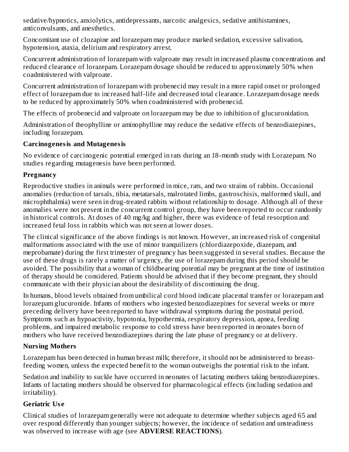sedative/hypnotics, anxiolytics, antidepressants, narcotic analgesics, sedative antihistamines, anticonvulsants, and anesthetics.

Concomitant use of clozapine and lorazepam may produce marked sedation, excessive salivation, hypotension, ataxia, delirium and respiratory arrest.

Concurrent administration of lorazepam with valproate may result in increased plasma concentrations and reduced clearance of lorazepam. Lorazepam dosage should be reduced to approximately 50% when coadministered with valproate.

Concurrent administration of lorazepam with probenecid may result in a more rapid onset or prolonged effect of lorazepam due to increased half-life and decreased total clearance. Lorazepam dosage needs to be reduced by approximately 50% when coadministered with probenecid.

The effects of probenecid and valproate on lorazepam may be due to inhibition of glucuronidation.

Administration of theophylline or aminophylline may reduce the sedative effects of benzodiazepines, including lorazepam.

## **Carcinogenesis and Mutagenesis**

No evidence of carcinogenic potential emerged in rats during an 18-month study with Lorazepam. No studies regarding mutagenesis have been performed.

# **Pregnancy**

Reproductive studies in animals were performed in mice, rats, and two strains of rabbits. Occasional anomalies (reduction of tarsals, tibia, metatarsals, malrotated limbs, gastroschisis, malformed skull, and microphthalmia) were seen in drug-treated rabbits without relationship to dosage. Although all of these anomalies were not present in the concurrent control group, they have been reported to occur randomly in historical controls. At doses of 40 mg/kg and higher, there was evidence of fetal resorption and increased fetal loss in rabbits which was not seen at lower doses.

The clinical significance of the above findings is not known. However, an increased risk of congenital malformations associated with the use of minor tranquilizers (chlordiazepoxide, diazepam, and meprobamate) during the first trimester of pregnancy has been suggested in several studies. Because the use of these drugs is rarely a matter of urgency, the use of lorazepam during this period should be avoided. The possibility that a woman of childbearing potential may be pregnant at the time of institution of therapy should be considered. Patients should be advised that if they become pregnant, they should communicate with their physician about the desirability of discontinuing the drug.

In humans, blood levels obtained from umbilical cord blood indicate placental transfer or lorazepam and lorazepam glucuronide. Infants of mothers who ingested benzodiazepines for several weeks or more preceding delivery have been reported to have withdrawal symptoms during the postnatal period. Symptoms such as hypoactivity, hypotonia, hypothermia, respiratory depression, apnea, feeding problems, and impaired metabolic response to cold stress have been reported in neonates born of mothers who have received benzodiazepines during the late phase of pregnancy or at delivery.

# **Nursing Mothers**

Lorazepam has been detected in human breast milk; therefore, it should not be administered to breastfeeding women, unless the expected benefit to the woman outweighs the potential risk to the infant.

Sedation and inability to suckle have occurred in neonates of lactating mothers taking benzodiazepines. Infants of lactating mothers should be observed for pharmacological effects (including sedation and irritability).

# **Geriatric Us e**

Clinical studies of lorazepam generally were not adequate to determine whether subjects aged 65 and over respond differently than younger subjects; however, the incidence of sedation and unsteadiness was observed to increase with age (see **ADVERSE REACTIONS**).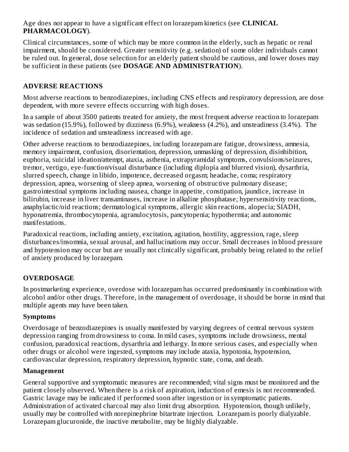Age does not appear to have a significant effect on lorazepam kinetics (see **CLINICAL PHARMACOLOGY**).

Clinical circumstances, some of which may be more common in the elderly, such as hepatic or renal impairment, should be considered. Greater sensitivity (e.g. sedation) of some older individuals cannot be ruled out. In general, dose selection for an elderly patient should be cautious, and lower doses may be sufficient in these patients (see **DOSAGE AND ADMINISTRATION**).

# **ADVERSE REACTIONS**

Most adverse reactions to benzodiazepines, including CNS effects and respiratory depression, are dose dependent, with more severe effects occurring with high doses.

In a sample of about 3500 patients treated for anxiety, the most frequent adverse reaction to lorazepam was sedation (15.9%), followed by dizziness (6.9%), weakness (4.2%), and unsteadiness (3.4%). The incidence of sedation and unsteadiness increased with age.

Other adverse reactions to benzodiazepines, including lorazepam are fatigue, drowsiness, amnesia, memory impairment, confusion, disorientation, depression, unmasking of depression, disinhibition, euphoria, suicidal ideation/attempt, ataxia, asthenia, extrapyramidal symptoms, convulsions/seizures, tremor, vertigo, eye-function/visual disturbance (including diplopia and blurred vision), dysarthria, slurred speech, change in libido, impotence, decreased orgasm; headache, coma; respiratory depression, apnea, worsening of sleep apnea, worsening of obstructive pulmonary disease; gastrointestinal symptoms including nausea, change in appetite, constipation, jaundice, increase in bilirubin, increase in liver transaminases, increase in alkaline phosphatase; hypersensitivity reactions, anaphylactic/oid reactions; dermatological symptoms, allergic skin reactions, alopecia; SIADH, hyponatremia, thrombocytopenia, agranulocytosis, pancytopenia; hypothermia; and autonomic manifestations.

Paradoxical reactions, including anxiety, excitation, agitation, hostility, aggression, rage, sleep disturbances/insomnia, sexual arousal, and hallucinations may occur. Small decreases in blood pressure and hypotension may occur but are usually not clinically significant, probably being related to the relief of anxiety produced by lorazepam.

## **OVERDOSAGE**

In postmarketing experience, overdose with lorazepam has occurred predominantly in combination with alcohol and/or other drugs. Therefore, in the management of overdosage, it should be borne in mind that multiple agents may have been taken.

#### **Symptoms**

Overdosage of benzodiazepines is usually manifested by varying degrees of central nervous system depression ranging from drowsiness to coma. In mild cases, symptoms include drowsiness, mental confusion, paradoxical reactions, dysarthria and lethargy. In more serious cases, and especially when other drugs or alcohol were ingested, symptoms may include ataxia, hypotonia, hypotension, cardiovascular depression, respiratory depression, hypnotic state, coma, and death.

#### **Management**

General supportive and symptomatic measures are recommended; vital signs must be monitored and the patient closely observed. When there is a risk of aspiration, induction of emesis is not recommended. Gastric lavage may be indicated if performed soon after ingestion or in symptomatic patients. Administration of activated charcoal may also limit drug absorption. Hypotension, though unlikely, usually may be controlled with norepinephrine bitartrate injection. Lorazepam is poorly dialyzable. Lorazepam glucuronide, the inactive metabolite, may be highly dialyzable.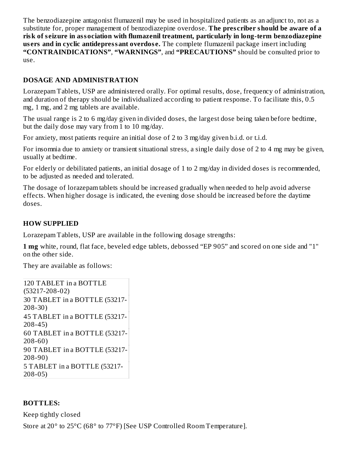The benzodiazepine antagonist flumazenil may be used in hospitalized patients as an adjunct to, not as a substitute for, proper management of benzodiazepine overdose. **The pres criber should be aware of a risk of s eizure in association with flumazenil treatment, particularly in long-term benzodiazepine us ers and in cyclic antidepressant overdos e.** The complete flumazenil package insert including **"CONTRAINDICATIONS"**, **"WARNINGS"**, and **"PRECAUTIONS"** should be consulted prior to use.

### **DOSAGE AND ADMINISTRATION**

Lorazepam Tablets, USP are administered orally. For optimal results, dose, frequency of administration, and duration of therapy should be individualized according to patient response. To facilitate this, 0.5 mg, 1 mg, and 2 mg tablets are available.

The usual range is 2 to 6 mg/day given in divided doses, the largest dose being taken before bedtime, but the daily dose may vary from  $1$  to  $10$  mg/day.

For anxiety, most patients require an initial dose of 2 to 3 mg/day given b.i.d. or t.i.d.

For insomnia due to anxiety or transient situational stress, a single daily dose of 2 to 4 mg may be given, usually at bedtime.

For elderly or debilitated patients, an initial dosage of 1 to 2 mg/day in divided doses is recommended, to be adjusted as needed and tolerated.

The dosage of lorazepam tablets should be increased gradually when needed to help avoid adverse effects. When higher dosage is indicated, the evening dose should be increased before the daytime doses.

### **HOW SUPPLIED**

Lorazepam Tablets, USP are available in the following dosage strengths:

**1 mg** white, round, flat face, beveled edge tablets, debossed "EP 905" and scored on one side and "1" on the other side.

They are available as follows:

```
120 TABLET in a BOTTLE
(53217-208-02)
30 TABLET in a BOTTLE (53217-
208-30)
45 TABLET in a BOTTLE (53217-
208-45)
60 TABLET in a BOTTLE (53217-
208-60)
90 TABLET in a BOTTLE (53217-
208-90)
5 TABLET in a BOTTLE (53217-
208-05)
```
#### **BOTTLES:**

Keep tightly closed

Store at 20° to 25°C (68° to 77°F) [See USP Controlled Room Temperature].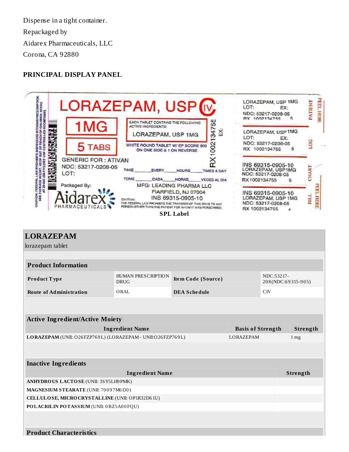Dispense in a tight container. Repackaged by Aidarex Pharmaceuticals, LLC Corona, CA 92880

#### **PRINCIPAL DISPLAY PANEL**



| <b>LORAZEPAM</b>                                           |                                   |                     |                 |                                  |  |
|------------------------------------------------------------|-----------------------------------|---------------------|-----------------|----------------------------------|--|
| lorazepam tablet                                           |                                   |                     |                 |                                  |  |
|                                                            |                                   |                     |                 |                                  |  |
| <b>Product Information</b>                                 |                                   |                     |                 |                                  |  |
| Product Type                                               | HUMAN PRESCRIPTION<br><b>DRUG</b> | Item Code (Source)  |                 | NDC:53217-<br>208(NDC:69315-905) |  |
| <b>Route of Administration</b>                             | ORAL                              | <b>DEA Schedule</b> |                 | CIV                              |  |
|                                                            |                                   |                     |                 |                                  |  |
| <b>Active Ingredient/Active Moiety</b>                     |                                   |                     |                 |                                  |  |
| <b>Ingredient Name</b>                                     | <b>Basis of Strength</b>          | Strength            |                 |                                  |  |
| LORAZEPAM (UNII: O26FZP769L) (LORAZEPAM - UNII:O26FZP769L) | LORAZEPAM                         |                     | 1 <sub>mg</sub> |                                  |  |
|                                                            |                                   |                     |                 |                                  |  |
| <b>Inactive Ingredients</b>                                |                                   |                     |                 |                                  |  |
|                                                            |                                   | Strength            |                 |                                  |  |
| ANHYDROUS LACTOSE (UNII: 3SY5LH9PMK)                       |                                   |                     |                 |                                  |  |
| MAGNESIUM STEARATE (UNII: 70097M6130)                      |                                   |                     |                 |                                  |  |
| CELLULOSE, MICRO CRYSTALLINE (UNII: OP1R32D61U)            |                                   |                     |                 |                                  |  |
| POLACRILIN POTASSIUM (UNII: 0BZ5A00FQU)                    |                                   |                     |                 |                                  |  |
|                                                            |                                   |                     |                 |                                  |  |
|                                                            |                                   |                     |                 |                                  |  |
| <b>Product Characteristics</b>                             |                                   |                     |                 |                                  |  |